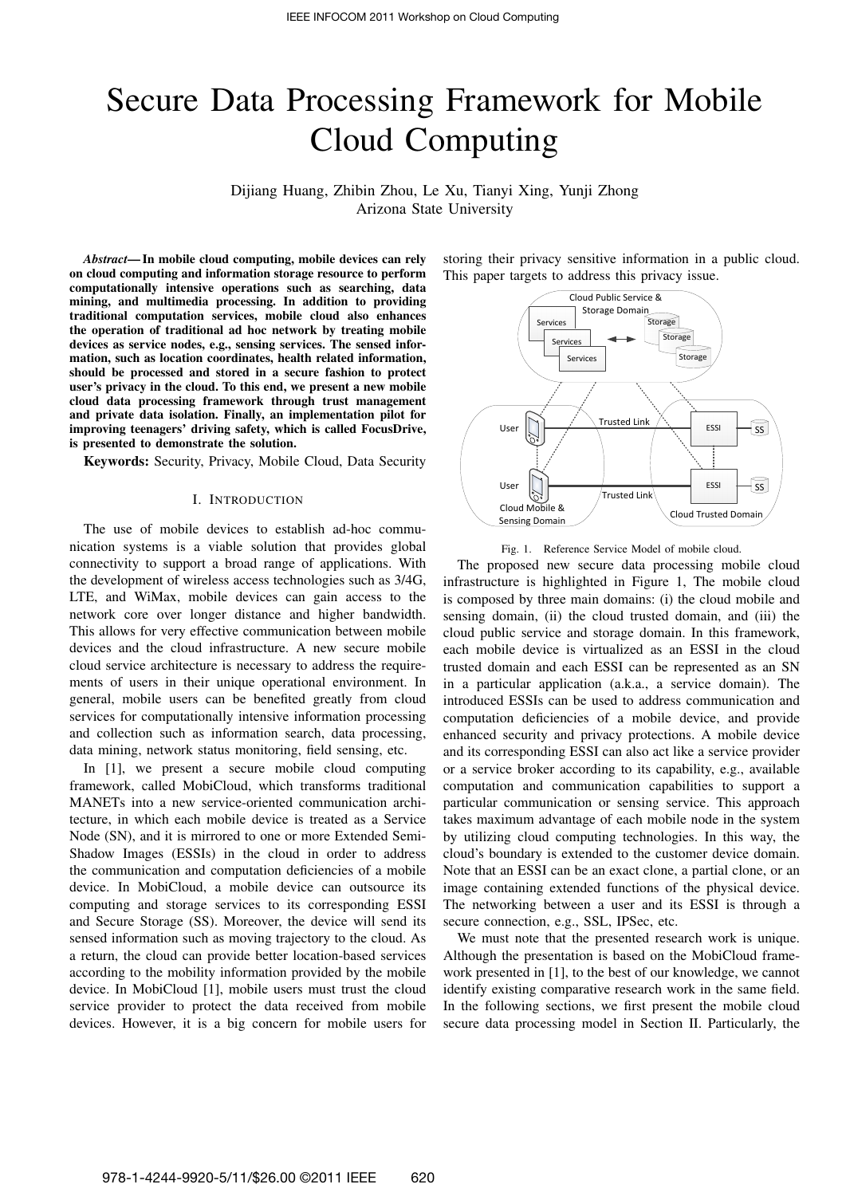# Secure Data Processing Framework for Mobile Cloud Computing

Dijiang Huang, Zhibin Zhou, Le Xu, Tianyi Xing, Yunji Zhong Arizona State University

*Abstract*— In mobile cloud computing, mobile devices can rely on cloud computing and information storage resource to perform computationally intensive operations such as searching, data mining, and multimedia processing. In addition to providing traditional computation services, mobile cloud also enhances the operation of traditional ad hoc network by treating mobile devices as service nodes, e.g., sensing services. The sensed information, such as location coordinates, health related information, should be processed and stored in a secure fashion to protect user's privacy in the cloud. To this end, we present a new mobile cloud data processing framework through trust management and private data isolation. Finally, an implementation pilot for improving teenagers' driving safety, which is called FocusDrive, is presented to demonstrate the solution.

Keywords: Security, Privacy, Mobile Cloud, Data Security

#### I. INTRODUCTION

The use of mobile devices to establish ad-hoc communication systems is a viable solution that provides global connectivity to support a broad range of applications. With the development of wireless access technologies such as 3/4G, LTE, and WiMax, mobile devices can gain access to the network core over longer distance and higher bandwidth. This allows for very effective communication between mobile devices and the cloud infrastructure. A new secure mobile cloud service architecture is necessary to address the requirements of users in their unique operational environment. In general, mobile users can be benefited greatly from cloud services for computationally intensive information processing and collection such as information search, data processing, data mining, network status monitoring, field sensing, etc.

In [1], we present a secure mobile cloud computing framework, called MobiCloud, which transforms traditional MANETs into a new service-oriented communication architecture, in which each mobile device is treated as a Service Node (SN), and it is mirrored to one or more Extended Semi-Shadow Images (ESSIs) in the cloud in order to address the communication and computation deficiencies of a mobile device. In MobiCloud, a mobile device can outsource its computing and storage services to its corresponding ESSI and Secure Storage (SS). Moreover, the device will send its sensed information such as moving trajectory to the cloud. As a return, the cloud can provide better location-based services according to the mobility information provided by the mobile device. In MobiCloud [1], mobile users must trust the cloud service provider to protect the data received from mobile devices. However, it is a big concern for mobile users for

storing their privacy sensitive information in a public cloud. This paper targets to address this privacy issue.



Fig. 1. Reference Service Model of mobile cloud.

The proposed new secure data processing mobile cloud infrastructure is highlighted in Figure 1, The mobile cloud is composed by three main domains: (i) the cloud mobile and sensing domain, (ii) the cloud trusted domain, and (iii) the cloud public service and storage domain. In this framework, each mobile device is virtualized as an ESSI in the cloud trusted domain and each ESSI can be represented as an SN in a particular application (a.k.a., a service domain). The introduced ESSIs can be used to address communication and computation deficiencies of a mobile device, and provide enhanced security and privacy protections. A mobile device and its corresponding ESSI can also act like a service provider or a service broker according to its capability, e.g., available computation and communication capabilities to support a particular communication or sensing service. This approach takes maximum advantage of each mobile node in the system by utilizing cloud computing technologies. In this way, the cloud's boundary is extended to the customer device domain. Note that an ESSI can be an exact clone, a partial clone, or an image containing extended functions of the physical device. The networking between a user and its ESSI is through a secure connection, e.g., SSL, IPSec, etc.

We must note that the presented research work is unique. Although the presentation is based on the MobiCloud framework presented in [1], to the best of our knowledge, we cannot identify existing comparative research work in the same field. In the following sections, we first present the mobile cloud secure data processing model in Section II. Particularly, the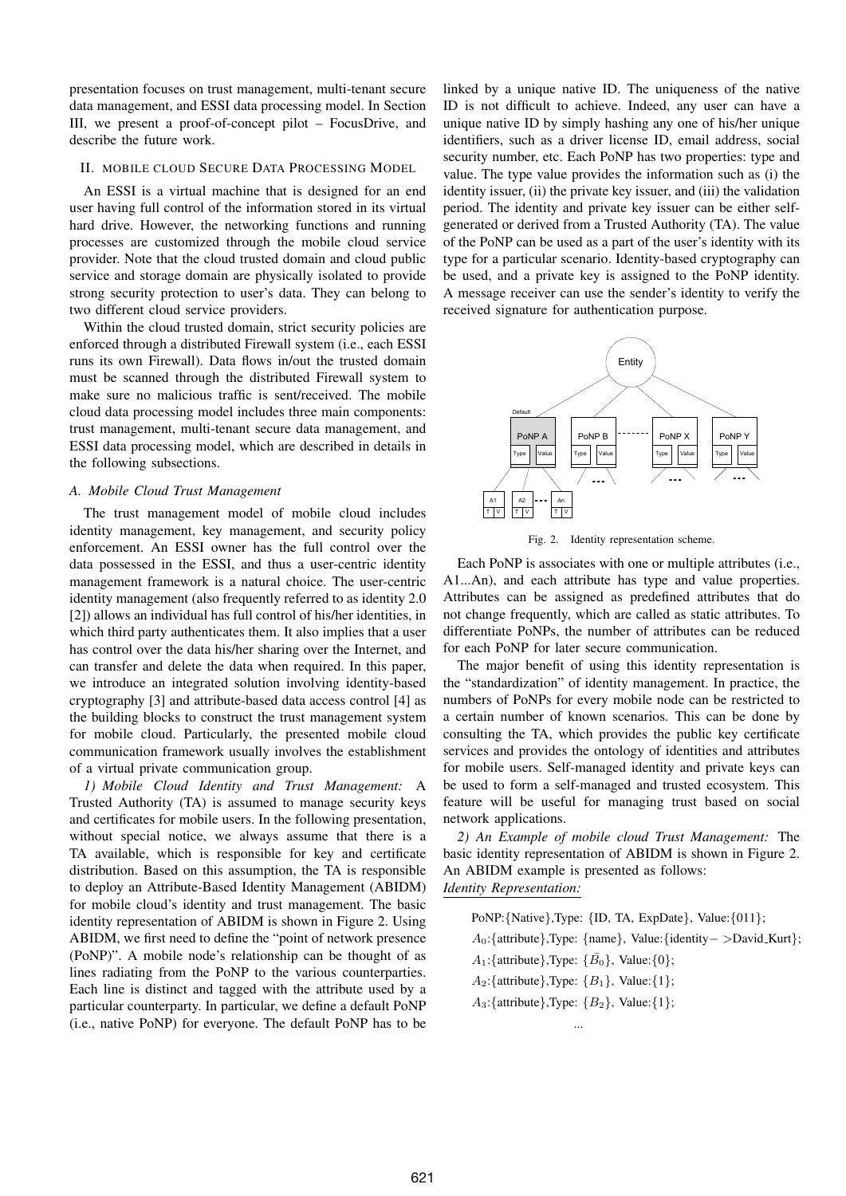presentation focuses on trust management, multi-tenant secure data management, and ESSI data processing model. In Section III, we present a proof-of-concept pilot – FocusDrive, and describe the future work.

## II. MOBILE CLOUD SECURE DATA PROCESSING MODEL

An ESSI is a virtual machine that is designed for an end user having full control of the information stored in its virtual hard drive. However, the networking functions and running processes are customized through the mobile cloud service provider. Note that the cloud trusted domain and cloud public service and storage domain are physically isolated to provide strong security protection to user's data. They can belong to two different cloud service providers.

Within the cloud trusted domain, strict security policies are enforced through a distributed Firewall system (i.e., each ESSI runs its own Firewall). Data flows in/out the trusted domain must be scanned through the distributed Firewall system to make sure no malicious traffic is sent/received. The mobile cloud data processing model includes three main components: trust management, multi-tenant secure data management, and ESSI data processing model, which are described in details in the following subsections.

## *A. Mobile Cloud Trust Management*

The trust management model of mobile cloud includes identity management, key management, and security policy enforcement. An ESSI owner has the full control over the data possessed in the ESSI, and thus a user-centric identity management framework is a natural choice. The user-centric identity management (also frequently referred to as identity 2.0 [2]) allows an individual has full control of his/her identities, in which third party authenticates them. It also implies that a user has control over the data his/her sharing over the Internet, and can transfer and delete the data when required. In this paper, we introduce an integrated solution involving identity-based cryptography [3] and attribute-based data access control [4] as the building blocks to construct the trust management system for mobile cloud. Particularly, the presented mobile cloud communication framework usually involves the establishment of a virtual private communication group.

*1) Mobile Cloud Identity and Trust Management:* A Trusted Authority (TA) is assumed to manage security keys and certificates for mobile users. In the following presentation, without special notice, we always assume that there is a TA available, which is responsible for key and certificate distribution. Based on this assumption, the TA is responsible to deploy an Attribute-Based Identity Management (ABIDM) for mobile cloud's identity and trust management. The basic identity representation of ABIDM is shown in Figure 2. Using ABIDM, we first need to define the "point of network presence (PoNP)". A mobile node's relationship can be thought of as lines radiating from the PoNP to the various counterparties. Each line is distinct and tagged with the attribute used by a particular counterparty. In particular, we define a default PoNP (i.e., native PoNP) for everyone. The default PoNP has to be linked by a unique native ID. The uniqueness of the native ID is not difficult to achieve. Indeed, any user can have a unique native ID by simply hashing any one of his/her unique identifiers, such as a driver license ID, email address, social security number, etc. Each PoNP has two properties: type and value. The type value provides the information such as (i) the identity issuer, (ii) the private key issuer, and (iii) the validation period. The identity and private key issuer can be either selfgenerated or derived from a Trusted Authority (TA). The value of the PoNP can be used as a part of the user's identity with its type for a particular scenario. Identity-based cryptography can be used, and a private key is assigned to the PoNP identity. A message receiver can use the sender's identity to verify the received signature for authentication purpose.



Fig. 2. Identity representation scheme.

Each PoNP is associates with one or multiple attributes (i.e., A1...An), and each attribute has type and value properties. Attributes can be assigned as predefined attributes that do not change frequently, which are called as static attributes. To differentiate PoNPs, the number of attributes can be reduced for each PoNP for later secure communication.

The major benefit of using this identity representation is the "standardization" of identity management. In practice, the numbers of PoNPs for every mobile node can be restricted to a certain number of known scenarios. This can be done by consulting the TA, which provides the public key certificate services and provides the ontology of identities and attributes for mobile users. Self-managed identity and private keys can be used to form a self-managed and trusted ecosystem. This feature will be useful for managing trust based on social network applications.

*2) An Example of mobile cloud Trust Management:* The basic identity representation of ABIDM is shown in Figure 2. An ABIDM example is presented as follows: *Identity Representation:*

PoNP:*{*Native*}*,Type: *{*ID, TA, ExpDate*}*, Value:*{*011*}*; *A*0:*{*attribute*}*,Type: *{*name*}*, Value:*{*identity*− >*David Kurt*}*; *A*<sub>1</sub>:*{*attribute*}*,Type:  $\{\bar{B_0}\}$ , Value:  $\{0\}$ ; *A*2:*{*attribute*}*,Type: *{B*1*}*, Value:*{*1*}*; *A*3:*{*attribute*}*,Type: *{B*2*}*, Value:*{*1*}*;

...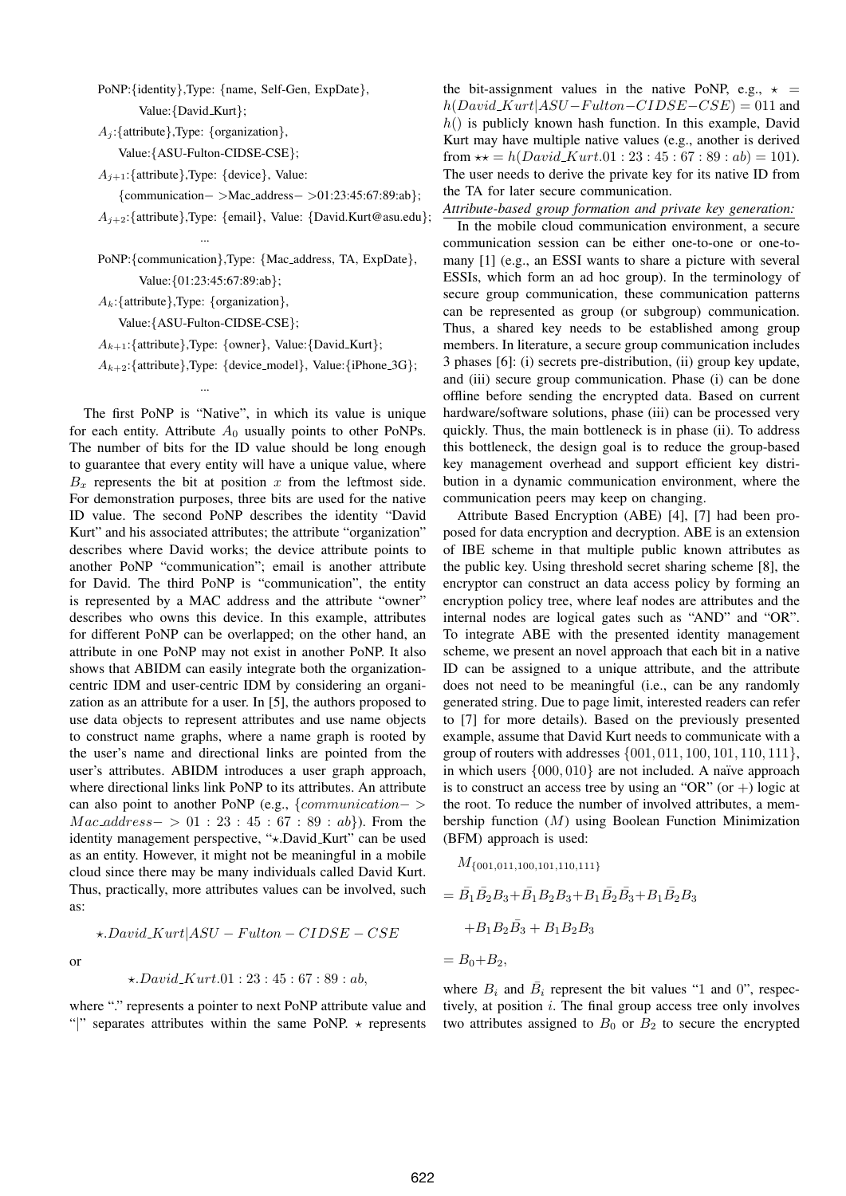PoNP:*{*identity*}*,Type: *{*name, Self-Gen, ExpDate*}*, Value:*{*David Kurt*}*;

*A<sup>j</sup>* :*{*attribute*}*,Type: *{*organization*}*,

Value:*{*ASU-Fulton-CIDSE-CSE*}*;

*A<sup>j</sup>*+1:*{*attribute*}*,Type: *{*device*}*, Value:

...

*{*communication*− >*Mac address*− >*01:23:45:67:89:ab*}*;

*A<sup>j</sup>*+2:*{*attribute*}*,Type: *{*email*}*, Value: *{*David.Kurt@asu.edu*}*;

PoNP:*{*communication*}*,Type: *{*Mac address, TA, ExpDate*}*, Value:*{*01:23:45:67:89:ab*}*;

*Ak*:*{*attribute*}*,Type: *{*organization*}*,

Value:*{*ASU-Fulton-CIDSE-CSE*}*;

...

*A<sup>k</sup>*+1:*{*attribute*}*,Type: *{*owner*}*, Value:*{*David Kurt*}*;

 $A_{k+2}$ : {attribute},Type: {device\_model}, Value: {iPhone\_3G};

The first PoNP is "Native", in which its value is unique for each entity. Attribute  $A_0$  usually points to other PoNPs. The number of bits for the ID value should be long enough to guarantee that every entity will have a unique value, where  $B_x$  represents the bit at position  $x$  from the leftmost side. For demonstration purposes, three bits are used for the native ID value. The second PoNP describes the identity "David Kurt" and his associated attributes; the attribute "organization" describes where David works; the device attribute points to another PoNP "communication"; email is another attribute for David. The third PoNP is "communication", the entity is represented by a MAC address and the attribute "owner" describes who owns this device. In this example, attributes for different PoNP can be overlapped; on the other hand, an attribute in one PoNP may not exist in another PoNP. It also shows that ABIDM can easily integrate both the organizationcentric IDM and user-centric IDM by considering an organization as an attribute for a user. In [5], the authors proposed to use data objects to represent attributes and use name objects to construct name graphs, where a name graph is rooted by the user's name and directional links are pointed from the user's attributes. ABIDM introduces a user graph approach, where directional links link PoNP to its attributes. An attribute can also point to another PoNP (e.g., *{communication− > Mac\_address*− > 01 : 23 : 45 : 67 : 89 : *ab}*). From the identity management perspective, "<sup>\*</sup><sub>\*</sub>.David\_Kurt" can be used as an entity. However, it might not be meaningful in a mobile cloud since there may be many individuals called David Kurt. Thus, practically, more attributes values can be involved, such as:

or

$$
\star . David\_Kurt | ASU - Fulton - CIDSE - CSE
$$

$$
\star. David\_Kurt. 01:23:45:67:89:ab,
$$

where "." represents a pointer to next PoNP attribute value and "*|*" separates attributes within the same PoNP. *⋆* represents the bit-assignment values in the native PoNP, e.g.,  $\star$  =  $h(David_Kurt|ASU-Fulton-CIDSE-CSE) = 011$  and *h*() is publicly known hash function. In this example, David Kurt may have multiple native values (e.g., another is derived from  $\star\star = h(David\_Kurt.01:23:45:67:89:ab) = 101$ . The user needs to derive the private key for its native ID from the TA for later secure communication.

*Attribute-based group formation and private key generation:*

In the mobile cloud communication environment, a secure communication session can be either one-to-one or one-tomany [1] (e.g., an ESSI wants to share a picture with several ESSIs, which form an ad hoc group). In the terminology of secure group communication, these communication patterns can be represented as group (or subgroup) communication. Thus, a shared key needs to be established among group members. In literature, a secure group communication includes 3 phases [6]: (i) secrets pre-distribution, (ii) group key update, and (iii) secure group communication. Phase (i) can be done offline before sending the encrypted data. Based on current hardware/software solutions, phase (iii) can be processed very quickly. Thus, the main bottleneck is in phase (ii). To address this bottleneck, the design goal is to reduce the group-based key management overhead and support efficient key distribution in a dynamic communication environment, where the communication peers may keep on changing.

Attribute Based Encryption (ABE) [4], [7] had been proposed for data encryption and decryption. ABE is an extension of IBE scheme in that multiple public known attributes as the public key. Using threshold secret sharing scheme [8], the encryptor can construct an data access policy by forming an encryption policy tree, where leaf nodes are attributes and the internal nodes are logical gates such as "AND" and "OR". To integrate ABE with the presented identity management scheme, we present an novel approach that each bit in a native ID can be assigned to a unique attribute, and the attribute does not need to be meaningful (i.e., can be any randomly generated string. Due to page limit, interested readers can refer to [7] for more details). Based on the previously presented example, assume that David Kurt needs to communicate with a group of routers with addresses *{*001*,* 011*,* 100*,* 101*,* 110*,* 111*}*, in which users  $\{000, 010\}$  are not included. A naïve approach is to construct an access tree by using an "OR" (or  $+)$  logic at the root. To reduce the number of involved attributes, a membership function (*M*) using Boolean Function Minimization (BFM) approach is used:

$$
M_{\{001,011,100,101,110,111\}}
$$
  
=  $\bar{B}_1 \bar{B}_2 B_3 + \bar{B}_1 B_2 B_3 + B_1 \bar{B}_2 \bar{B}_3 + B_1 \bar{B}_2 B_3$   
+  $B_1 B_2 \bar{B}_3 + B_1 B_2 B_3$   
=  $B_0 + B_2$ ,

where  $B_i$  and  $\overline{B}_i$  represent the bit values "1 and 0", respectively, at position *i*. The final group access tree only involves two attributes assigned to  $B_0$  or  $B_2$  to secure the encrypted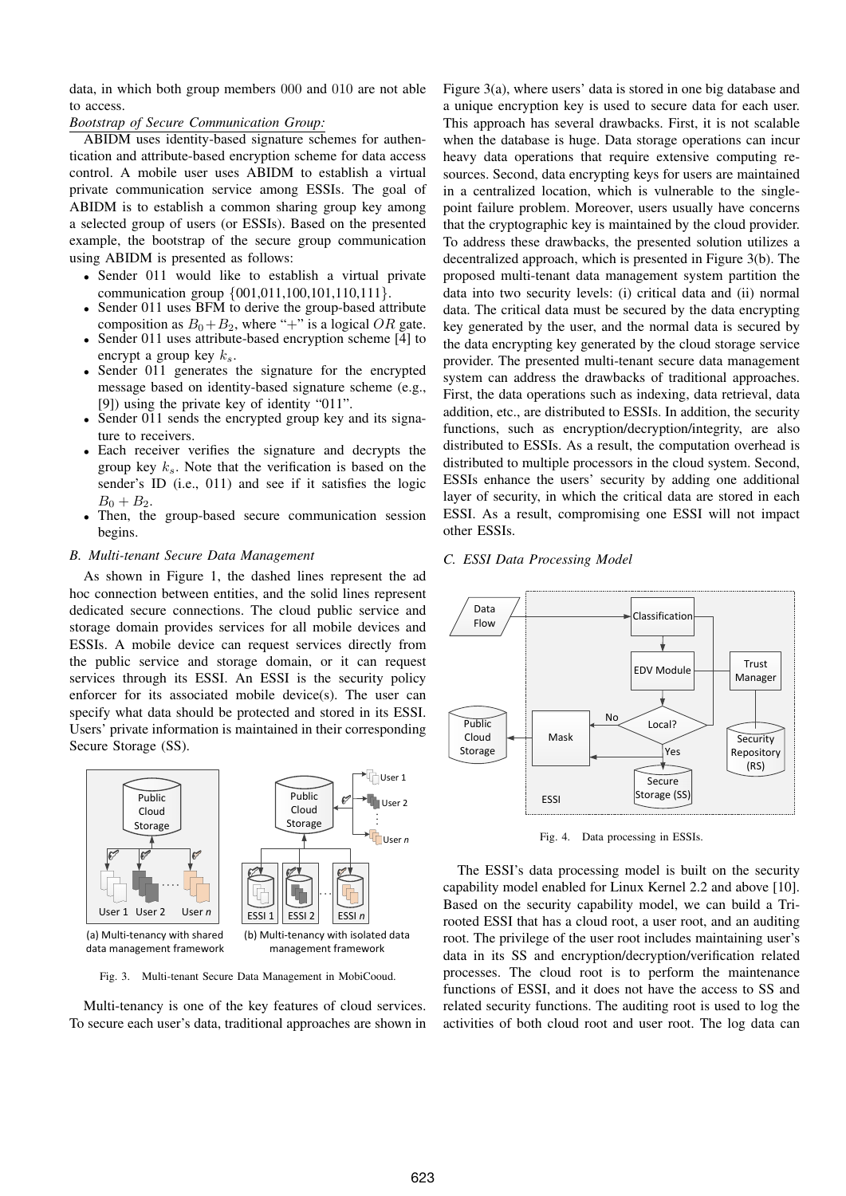data, in which both group members 000 and 010 are not able to access.

#### *Bootstrap of Secure Communication Group:*

ABIDM uses identity-based signature schemes for authentication and attribute-based encryption scheme for data access control. A mobile user uses ABIDM to establish a virtual private communication service among ESSIs. The goal of ABIDM is to establish a common sharing group key among a selected group of users (or ESSIs). Based on the presented example, the bootstrap of the secure group communication using ABIDM is presented as follows:

- Sender 011 would like to establish a virtual private communication group *{*001,011,100,101,110,111*}*.
- Sender 011 uses BFM to derive the group-based attribute composition as  $B_0 + B_2$ , where "+" is a logical OR gate.
- Sender 011 uses attribute-based encryption scheme [4] to encrypt a group key *ks*.
- *•* Sender 011 generates the signature for the encrypted message based on identity-based signature scheme (e.g., [9]) using the private key of identity "011".
- Sender 011 sends the encrypted group key and its signature to receivers.
- *•* Each receiver verifies the signature and decrypts the group key *ks*. Note that the verification is based on the sender's ID (i.e., 011) and see if it satisfies the logic  $B_0 + B_2$ .
- Then, the group-based secure communication session begins.

## *B. Multi-tenant Secure Data Management*

As shown in Figure 1, the dashed lines represent the ad hoc connection between entities, and the solid lines represent dedicated secure connections. The cloud public service and storage domain provides services for all mobile devices and ESSIs. A mobile device can request services directly from the public service and storage domain, or it can request services through its ESSI. An ESSI is the security policy enforcer for its associated mobile device(s). The user can specify what data should be protected and stored in its ESSI. Users' private information is maintained in their corresponding Secure Storage (SS).



Fig. 3. Multi-tenant Secure Data Management in MobiCooud.

Multi-tenancy is one of the key features of cloud services. To secure each user's data, traditional approaches are shown in Figure 3(a), where users' data is stored in one big database and a unique encryption key is used to secure data for each user. This approach has several drawbacks. First, it is not scalable when the database is huge. Data storage operations can incur heavy data operations that require extensive computing resources. Second, data encrypting keys for users are maintained in a centralized location, which is vulnerable to the singlepoint failure problem. Moreover, users usually have concerns that the cryptographic key is maintained by the cloud provider. To address these drawbacks, the presented solution utilizes a decentralized approach, which is presented in Figure 3(b). The proposed multi-tenant data management system partition the data into two security levels: (i) critical data and (ii) normal data. The critical data must be secured by the data encrypting key generated by the user, and the normal data is secured by the data encrypting key generated by the cloud storage service provider. The presented multi-tenant secure data management system can address the drawbacks of traditional approaches. First, the data operations such as indexing, data retrieval, data addition, etc., are distributed to ESSIs. In addition, the security functions, such as encryption/decryption/integrity, are also distributed to ESSIs. As a result, the computation overhead is distributed to multiple processors in the cloud system. Second, ESSIs enhance the users' security by adding one additional layer of security, in which the critical data are stored in each ESSI. As a result, compromising one ESSI will not impact other ESSIs.

#### *C. ESSI Data Processing Model*



Fig. 4. Data processing in ESSIs.

The ESSI's data processing model is built on the security capability model enabled for Linux Kernel 2.2 and above [10]. Based on the security capability model, we can build a Trirooted ESSI that has a cloud root, a user root, and an auditing root. The privilege of the user root includes maintaining user's data in its SS and encryption/decryption/verification related processes. The cloud root is to perform the maintenance functions of ESSI, and it does not have the access to SS and related security functions. The auditing root is used to log the activities of both cloud root and user root. The log data can